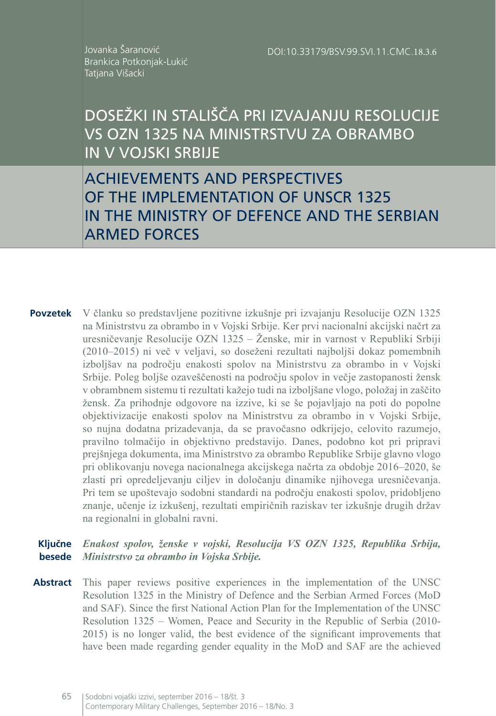DOI:10.33179/BSV.99.SVI.11.CMC.18.3.6

Jovanka Šaranović Brankica Potkonjak-Lukić Tatjana Višacki

DOSEŽKI IN STALIŠČA PRI IZVAJANJU RESOLUCIJE VS OZN 1325 NA MINISTRSTVU ZA OBRAMBO IN V VOJSKI SRBIJE

ACHIEVEMENTS AND PERSPECTIVES OF THE IMPLEMENTATION OF UNSCR 1325 IN THE MINISTRY OF DEFENCE AND THE SERBIAN ARMED FORCES

**Povzetek** V članku so predstavljene pozitivne izkušnje pri izvajanju Resolucije OZN 1325 na Ministrstvu za obrambo in v Vojski Srbije. Ker prvi nacionalni akcijski načrt za uresničevanje Resolucije OZN 1325 – Ženske, mir in varnost v Republiki Srbiji (2010–2015) ni več v veljavi, so doseženi rezultati najboljši dokaz pomembnih izboljšav na področju enakosti spolov na Ministrstvu za obrambo in v Vojski Srbije. Poleg boljše ozaveščenosti na področju spolov in večje zastopanosti žensk v obrambnem sistemu ti rezultati kažejo tudi na izboljšane vlogo, položaj in zaščito žensk. Za prihodnje odgovore na izzive, ki se še pojavljajo na poti do popolne objektivizacije enakosti spolov na Ministrstvu za obrambo in v Vojski Srbije, so nujna dodatna prizadevanja, da se pravočasno odkrijejo, celovito razumejo, pravilno tolmačijo in objektivno predstavijo. Danes, podobno kot pri pripravi prejšnjega dokumenta, ima Ministrstvo za obrambo Republike Srbije glavno vlogo pri oblikovanju novega nacionalnega akcijskega načrta za obdobje 2016–2020, še zlasti pri opredeljevanju ciljev in določanju dinamike njihovega uresničevanja. Pri tem se upoštevajo sodobni standardi na področju enakosti spolov, pridobljeno znanje, učenje iz izkušenj, rezultati empiričnih raziskav ter izkušnje drugih držav na regionalni in globalni ravni.

#### **Ključne**  *Enakost spolov, ženske v vojski, Resolucija VS OZN 1325, Republika Srbija,*  **besede** *Ministrstvo za obrambo in Vojska Srbije.*

**Abstract** This paper reviews positive experiences in the implementation of the UNSC Resolution 1325 in the Ministry of Defence and the Serbian Armed Forces (MoD and SAF). Since the first National Action Plan for the Implementation of the UNSC Resolution 1325 – Women, Peace and Security in the Republic of Serbia (2010- 2015) is no longer valid, the best evidence of the significant improvements that have been made regarding gender equality in the MoD and SAF are the achieved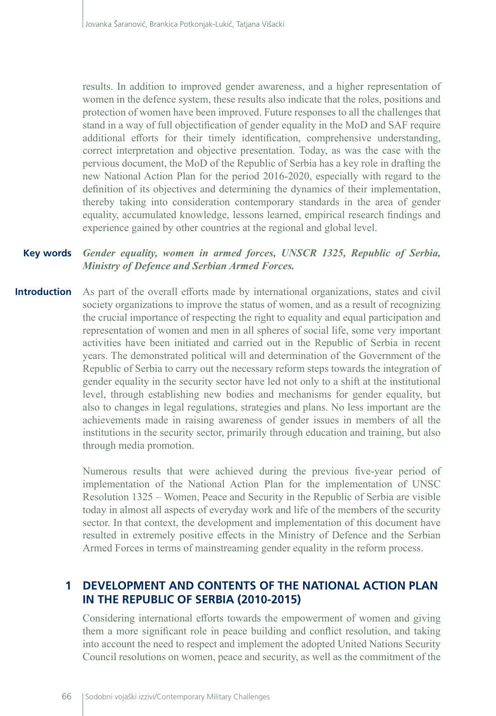results. In addition to improved gender awareness, and a higher representation of women in the defence system, these results also indicate that the roles, positions and protection of women have been improved. Future responses to all the challenges that stand in a way of full objectification of gender equality in the MoD and SAF require additional efforts for their timely identification, comprehensive understanding, correct interpretation and objective presentation. Today, as was the case with the pervious document, the MoD of the Republic of Serbia has a key role in drafting the new National Action Plan for the period 2016-2020, especially with regard to the definition of its objectives and determining the dynamics of their implementation, thereby taking into consideration contemporary standards in the area of gender equality, accumulated knowledge, lessons learned, empirical research findings and experience gained by other countries at the regional and global level.

#### *Gender equality, women in armed forces, UNSCR 1325, Republic of Serbia, Ministry of Defence and Serbian Armed Forces.* **Key words**

As part of the overall efforts made by international organizations, states and civil society organizations to improve the status of women, and as a result of recognizing the crucial importance of respecting the right to equality and equal participation and representation of women and men in all spheres of social life, some very important activities have been initiated and carried out in the Republic of Serbia in recent years. The demonstrated political will and determination of the Government of the Republic of Serbia to carry out the necessary reform steps towards the integration of gender equality in the security sector have led not only to a shift at the institutional level, through establishing new bodies and mechanisms for gender equality, but also to changes in legal regulations, strategies and plans. No less important are the achievements made in raising awareness of gender issues in members of all the institutions in the security sector, primarily through education and training, but also through media promotion. **Introduction**

> Numerous results that were achieved during the previous five-year period of implementation of the National Action Plan for the implementation of UNSC Resolution 1325 – Women, Peace and Security in the Republic of Serbia are visible today in almost all aspects of everyday work and life of the members of the security sector. In that context, the development and implementation of this document have resulted in extremely positive effects in the Ministry of Defence and the Serbian Armed Forces in terms of mainstreaming gender equality in the reform process.

# **1 DEVELOPMENT AND CONTENTS OF THE NATIONAL ACTION PLAN IN THE REPUBLIC OF SERBIA (2010-2015)**

Considering international efforts towards the empowerment of women and giving them a more significant role in peace building and conflict resolution, and taking into account the need to respect and implement the adopted United Nations Security Council resolutions on women, peace and security, as well as the commitment of the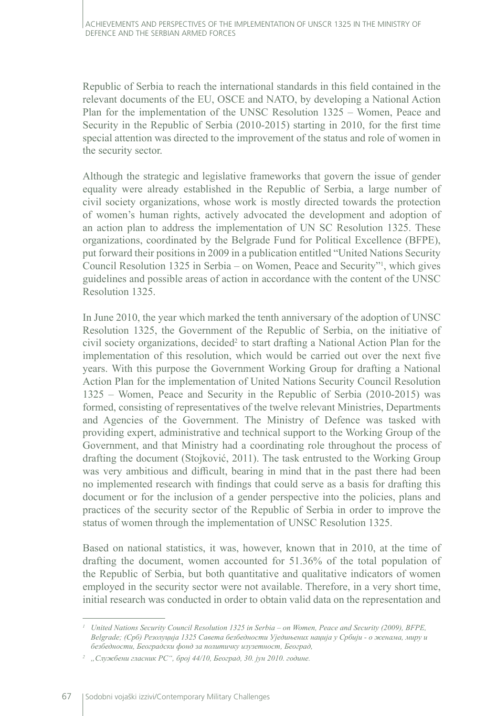Republic of Serbia to reach the international standards in this field contained in the relevant documents of the EU, OSCE and NATO, by developing a National Action Plan for the implementation of the UNSC Resolution 1325 – Women, Peace and Security in the Republic of Serbia (2010-2015) starting in 2010, for the first time special attention was directed to the improvement of the status and role of women in the security sector.

Although the strategic and legislative frameworks that govern the issue of gender equality were already established in the Republic of Serbia, a large number of civil society organizations, whose work is mostly directed towards the protection of women's human rights, actively advocated the development and adoption of an action plan to address the implementation of UN SC Resolution 1325. These organizations, coordinated by the Belgrade Fund for Political Excellence (BFPE), put forward their positions in 2009 in a publication entitled "United Nations Security Council Resolution 1325 in Serbia – on Women, Peace and Security"<sup>1</sup> , which gives guidelines and possible areas of action in accordance with the content of the UNSC Resolution 1325.

In June 2010, the year which marked the tenth anniversary of the adoption of UNSC Resolution 1325, the Government of the Republic of Serbia, on the initiative of civil society organizations, decided<sup>2</sup> to start drafting a National Action Plan for the implementation of this resolution, which would be carried out over the next five years. With this purpose the Government Working Group for drafting a National Action Plan for the implementation of United Nations Security Council Resolution 1325 – Women, Peace and Security in the Republic of Serbia (2010-2015) was formed, consisting of representatives of the twelve relevant Ministries, Departments and Agencies of the Government. The Ministry of Defence was tasked with providing expert, administrative and technical support to the Working Group of the Government, and that Ministry had a coordinating role throughout the process of drafting the document (Stojković, 2011). The task entrusted to the Working Group was very ambitious and difficult, bearing in mind that in the past there had been no implemented research with findings that could serve as a basis for drafting this document or for the inclusion of a gender perspective into the policies, plans and practices of the security sector of the Republic of Serbia in order to improve the status of women through the implementation of UNSC Resolution 1325.

Based on national statistics, it was, however, known that in 2010, at the time of drafting the document, women accounted for 51.36% of the total population of the Republic of Serbia, but both quantitative and qualitative indicators of women employed in the security sector were not available. Therefore, in a very short time, initial research was conducted in order to obtain valid data on the representation and

*<sup>1</sup> United Nations Security Council Resolution 1325 in Serbia – on Women, Peace and Security (2009), BFPE, Belgrade; (Срб) Резолуција 1325 Савета безбедности Уједињених нација у Србији - о женама, миру и безбедности, Београдски фонд за политичку изузетност, Београд,*

*<sup>2</sup> "Службени гласник РС", број 44/10, Београд, 30. јун 2010. године.*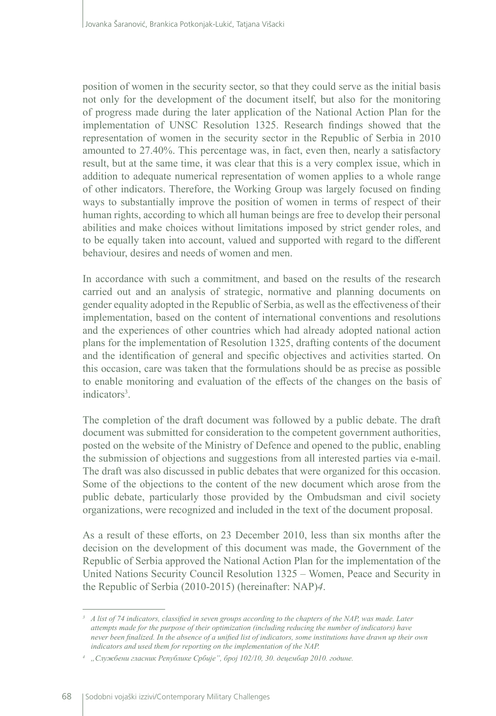position of women in the security sector, so that they could serve as the initial basis not only for the development of the document itself, but also for the monitoring of progress made during the later application of the National Action Plan for the implementation of UNSC Resolution 1325. Research findings showed that the representation of women in the security sector in the Republic of Serbia in 2010 amounted to 27.40%. This percentage was, in fact, even then, nearly a satisfactory result, but at the same time, it was clear that this is a very complex issue, which in addition to adequate numerical representation of women applies to a whole range of other indicators. Therefore, the Working Group was largely focused on finding ways to substantially improve the position of women in terms of respect of their human rights, according to which all human beings are free to develop their personal abilities and make choices without limitations imposed by strict gender roles, and to be equally taken into account, valued and supported with regard to the different behaviour, desires and needs of women and men.

In accordance with such a commitment, and based on the results of the research carried out and an analysis of strategic, normative and planning documents on gender equality adopted in the Republic of Serbia, as well as the effectiveness of their implementation, based on the content of international conventions and resolutions and the experiences of other countries which had already adopted national action plans for the implementation of Resolution 1325, drafting contents of the document and the identification of general and specific objectives and activities started. On this occasion, care was taken that the formulations should be as precise as possible to enable monitoring and evaluation of the effects of the changes on the basis of indicators<sup>3</sup>.

The completion of the draft document was followed by a public debate. The draft document was submitted for consideration to the competent government authorities, posted on the website of the Ministry of Defence and opened to the public, enabling the submission of objections and suggestions from all interested parties via e-mail. The draft was also discussed in public debates that were organized for this occasion. Some of the objections to the content of the new document which arose from the public debate, particularly those provided by the Ombudsman and civil society organizations, were recognized and included in the text of the document proposal.

As a result of these efforts, on 23 December 2010, less than six months after the decision on the development of this document was made, the Government of the Republic of Serbia approved the National Action Plan for the implementation of the United Nations Security Council Resolution 1325 – Women, Peace and Security in the Republic of Serbia (2010-2015) (hereinafter: NAP)*4*.

<sup>&</sup>lt;sup>3</sup> *A list of 74 indicators, classified in seven groups according to the chapters of the NAP, was made. Later attempts made for the purpose of their optimization (including reducing the number of indicators) have never been finalized. In the absence of a unified list of indicators, some institutions have drawn up their own indicators and used them for reporting on the implementation of the NAP.*

*<sup>4</sup> "Службени гласник Републике Србије", број 102/10, 30. децембар 2010. године.*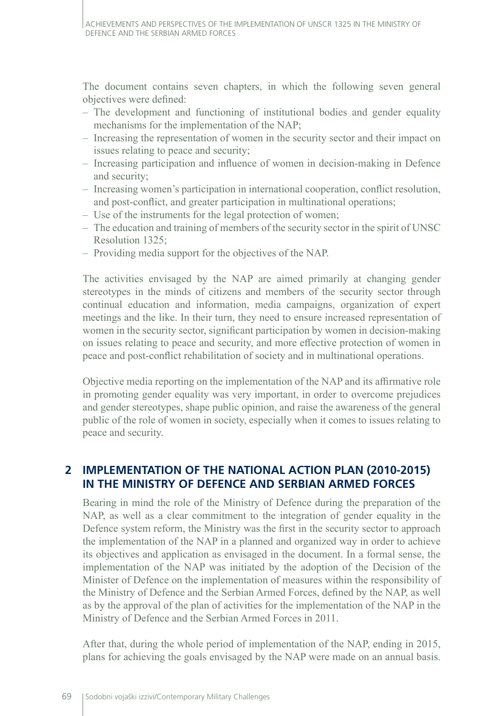The document contains seven chapters, in which the following seven general objectives were defined:

- The development and functioning of institutional bodies and gender equality mechanisms for the implementation of the NAP;
- Increasing the representation of women in the security sector and their impact on issues relating to peace and security;
- Increasing participation and influence of women in decision-making in Defence and security;
- Increasing women's participation in international cooperation, conflict resolution, and post-conflict, and greater participation in multinational operations;
- Use of the instruments for the legal protection of women;
- The education and training of members of the security sector in the spirit of UNSC Resolution 1325;
- Providing media support for the objectives of the NAP.

The activities envisaged by the NAP are aimed primarily at changing gender stereotypes in the minds of citizens and members of the security sector through continual education and information, media campaigns, organization of expert meetings and the like. In their turn, they need to ensure increased representation of women in the security sector, significant participation by women in decision-making on issues relating to peace and security, and more effective protection of women in peace and post-conflict rehabilitation of society and in multinational operations.

Objective media reporting on the implementation of the NAP and its affirmative role in promoting gender equality was very important, in order to overcome prejudices and gender stereotypes, shape public opinion, and raise the awareness of the general public of the role of women in society, especially when it comes to issues relating to peace and security.

# **2 IMPLEMENTATION OF THE NATIONAL ACTION PLAN (2010-2015) IN THE MINISTRY OF DEFENCE AND SERBIAN ARMED FORCES**

Bearing in mind the role of the Ministry of Defence during the preparation of the NAP, as well as a clear commitment to the integration of gender equality in the Defence system reform, the Ministry was the first in the security sector to approach the implementation of the NAP in a planned and organized way in order to achieve its objectives and application as envisaged in the document. In a formal sense, the implementation of the NAP was initiated by the adoption of the Decision of the Minister of Defence on the implementation of measures within the responsibility of the Ministry of Defence and the Serbian Armed Forces, defined by the NAP, as well as by the approval of the plan of activities for the implementation of the NAP in the Ministry of Defence and the Serbian Armed Forces in 2011.

After that, during the whole period of implementation of the NAP, ending in 2015, plans for achieving the goals envisaged by the NAP were made on an annual basis.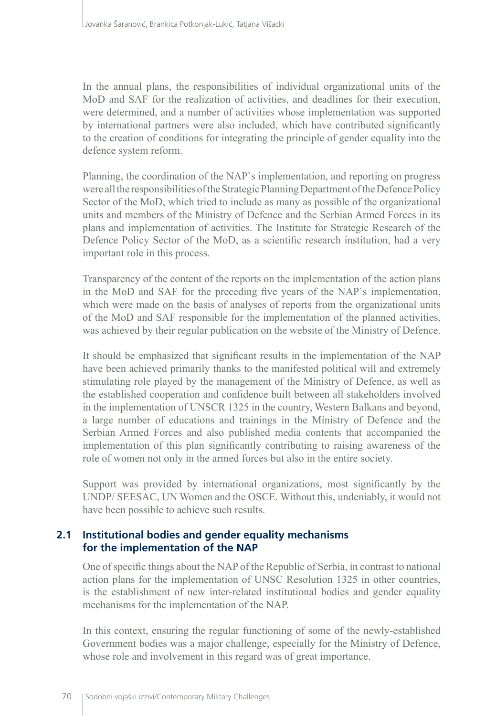In the annual plans, the responsibilities of individual organizational units of the MoD and SAF for the realization of activities, and deadlines for their execution, were determined, and a number of activities whose implementation was supported by international partners were also included, which have contributed significantly to the creation of conditions for integrating the principle of gender equality into the defence system reform.

Planning, the coordination of the NAP`s implementation, and reporting on progress were all the responsibilities of the Strategic Planning Department of the Defence Policy Sector of the MoD, which tried to include as many as possible of the organizational units and members of the Ministry of Defence and the Serbian Armed Forces in its plans and implementation of activities. The Institute for Strategic Research of the Defence Policy Sector of the MoD, as a scientific research institution, had a very important role in this process.

Transparency of the content of the reports on the implementation of the action plans in the MoD and SAF for the preceding five years of the NAP`s implementation, which were made on the basis of analyses of reports from the organizational units of the MoD and SAF responsible for the implementation of the planned activities, was achieved by their regular publication on the website of the Ministry of Defence.

It should be emphasized that significant results in the implementation of the NAP have been achieved primarily thanks to the manifested political will and extremely stimulating role played by the management of the Ministry of Defence, as well as the established cooperation and confidence built between all stakeholders involved in the implementation of UNSCR 1325 in the country, Western Balkans and beyond, a large number of educations and trainings in the Ministry of Defence and the Serbian Armed Forces and also published media contents that accompanied the implementation of this plan significantly contributing to raising awareness of the role of women not only in the armed forces but also in the entire society.

Support was provided by international organizations, most significantly by the UNDP/ SEESAC, UN Women and the OSCE. Without this, undeniably, it would not have been possible to achieve such results.

#### **2.1 Institutional bodies and gender equality mechanisms for the implementation of the NAP**

One of specific things about the NAP of the Republic of Serbia, in contrast to national action plans for the implementation of UNSC Resolution 1325 in other countries, is the establishment of new inter-related institutional bodies and gender equality mechanisms for the implementation of the NAP.

In this context, ensuring the regular functioning of some of the newly-established Government bodies was a major challenge, especially for the Ministry of Defence, whose role and involvement in this regard was of great importance.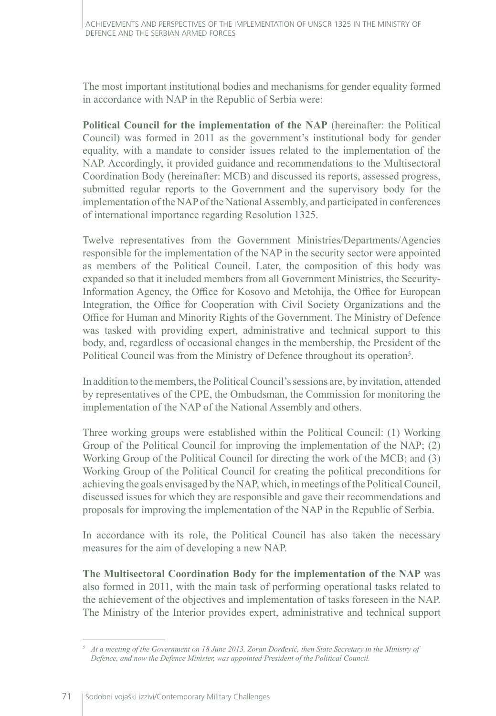The most important institutional bodies and mechanisms for gender equality formed in accordance with NAP in the Republic of Serbia were:

**Political Council for the implementation of the NAP** (hereinafter: the Political Council) was formed in 2011 as the government's institutional body for gender equality, with a mandate to consider issues related to the implementation of the NAP. Accordingly, it provided guidance and recommendations to the Multisectoral Coordination Body (hereinafter: MCB) and discussed its reports, assessed progress, submitted regular reports to the Government and the supervisory body for the implementation of the NAP of the National Assembly, and participated in conferences of international importance regarding Resolution 1325.

Twelve representatives from the Government Ministries/Departments/Agencies responsible for the implementation of the NAP in the security sector were appointed as members of the Political Council. Later, the composition of this body was expanded so that it included members from all Government Ministries, the Security-Information Agency, the Office for Kosovo and Metohija, the Office for European Integration, the Office for Cooperation with Civil Society Organizations and the Office for Human and Minority Rights of the Government. The Ministry of Defence was tasked with providing expert, administrative and technical support to this body, and, regardless of occasional changes in the membership, the President of the Political Council was from the Ministry of Defence throughout its operation<sup>5</sup>.

In addition to the members, the Political Council's sessions are, by invitation, attended by representatives of the CPE, the Ombudsman, the Commission for monitoring the implementation of the NAP of the National Assembly and others.

Three working groups were established within the Political Council: (1) Working Group of the Political Council for improving the implementation of the NAP; (2) Working Group of the Political Council for directing the work of the MCB; and (3) Working Group of the Political Council for creating the political preconditions for achieving the goals envisaged by the NAP, which, in meetings of the Political Council, discussed issues for which they are responsible and gave their recommendations and proposals for improving the implementation of the NAP in the Republic of Serbia.

In accordance with its role, the Political Council has also taken the necessary measures for the aim of developing a new NAP.

**The Multisectoral Coordination Body for the implementation of the NAP** was also formed in 2011, with the main task of performing operational tasks related to the achievement of the objectives and implementation of tasks foreseen in the NAP. The Ministry of the Interior provides expert, administrative and technical support

*<sup>5</sup> At a meeting of the Government on 18 June 2013, Zoran Đorđević, then State Secretary in the Ministry of Defence, and now the Defence Minister, was appointed President of the Political Council.*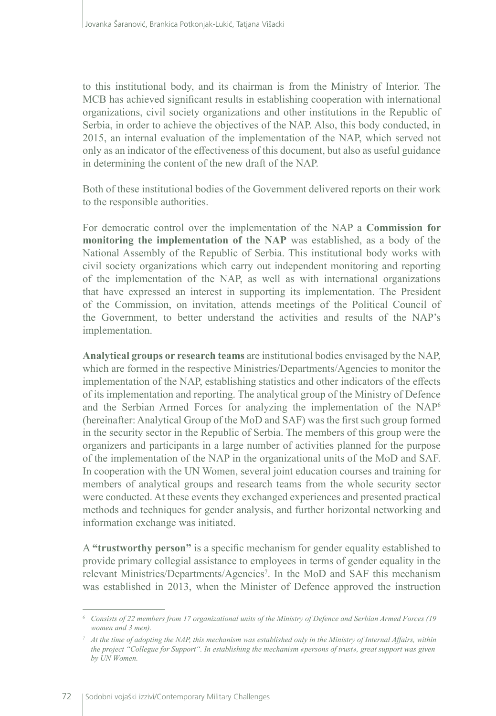to this institutional body, and its chairman is from the Ministry of Interior. The MCB has achieved significant results in establishing cooperation with international organizations, civil society organizations and other institutions in the Republic of Serbia, in order to achieve the objectives of the NAP. Also, this body conducted, in 2015, an internal evaluation of the implementation of the NAP, which served not only as an indicator of the effectiveness of this document, but also as useful guidance in determining the content of the new draft of the NAP.

Both of these institutional bodies of the Government delivered reports on their work to the responsible authorities.

For democratic control over the implementation of the NAP a **Commission for monitoring the implementation of the NAP** was established, as a body of the National Assembly of the Republic of Serbia. This institutional body works with civil society organizations which carry out independent monitoring and reporting of the implementation of the NAP, as well as with international organizations that have expressed an interest in supporting its implementation. The President of the Commission, on invitation, attends meetings of the Political Council of the Government, to better understand the activities and results of the NAP's implementation.

**Analytical groups or research teams** are institutional bodies envisaged by the NAP, which are formed in the respective Ministries/Departments/Agencies to monitor the implementation of the NAP, establishing statistics and other indicators of the effects of its implementation and reporting. The analytical group of the Ministry of Defence and the Serbian Armed Forces for analyzing the implementation of the NAP6 (hereinafter: Analytical Group of the MoD and SAF) was the first such group formed in the security sector in the Republic of Serbia. The members of this group were the organizers and participants in a large number of activities planned for the purpose of the implementation of the NAP in the organizational units of the MoD and SAF. In cooperation with the UN Women, several joint education courses and training for members of analytical groups and research teams from the whole security sector were conducted. At these events they exchanged experiences and presented practical methods and techniques for gender analysis, and further horizontal networking and information exchange was initiated.

A **"trustworthy person"** is a specific mechanism for gender equality established to provide primary collegial assistance to employees in terms of gender equality in the relevant Ministries/Departments/Agencies<sup>7</sup>. In the MoD and SAF this mechanism was established in 2013, when the Minister of Defence approved the instruction

*<sup>6</sup> Consists of 22 members from 17 organizational units of the Ministry of Defence and Serbian Armed Forces (19 women and 3 men).*

*<sup>7</sup> At the time of adopting the NAP, this mechanism was established only in the Ministry of Internal Affairs, within the project "Collegue for Support". In establishing the mechanism «persons of trust», great support was given by UN Wоmen.*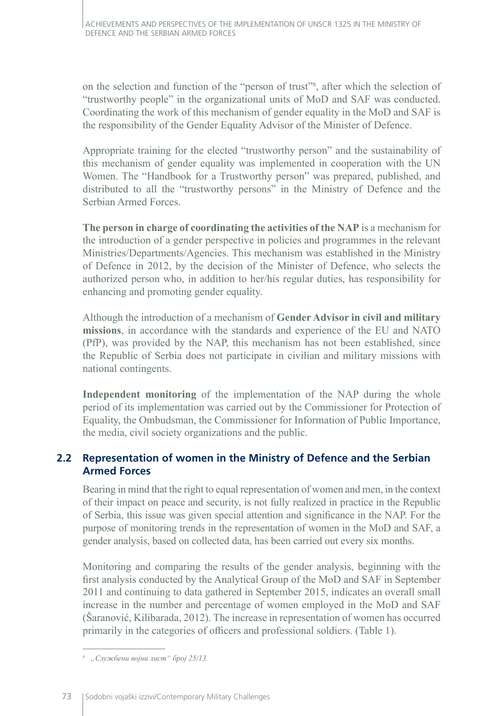on the selection and function of the "person of trust"8 , after which the selection of "trustworthy people" in the organizational units of MoD and SAF was conducted. Coordinating the work of this mechanism of gender equality in the MoD and SAF is the responsibility of the Gender Equality Advisor of the Minister of Defence.

Appropriate training for the elected "trustworthy person" and the sustainability of this mechanism of gender equality was implemented in cooperation with the UN Women. The "Handbook for a Trustworthy person" was prepared, published, and distributed to all the "trustworthy persons" in the Ministry of Defence and the Serbian Armed Forces.

**The person in charge of coordinating the activities of the NAP** is a mechanism for the introduction of a gender perspective in policies and programmes in the relevant Ministries/Departments/Agencies. This mechanism was established in the Ministry of Defence in 2012, by the decision of the Minister of Defence, who selects the authorized person who, in addition to her/his regular duties, has responsibility for enhancing and promoting gender equality.

Although the introduction of a mechanism of **Gender Advisor in civil and military missions**, in accordance with the standards and experience of the EU and NATO (PfP), was provided by the NAP, this mechanism has not been established, since the Republic of Serbia does not participate in civilian and military missions with national contingents.

**Independent monitoring** of the implementation of the NAP during the whole period of its implementation was carried out by the Commissioner for Protection of Equality, the Ombudsman, the Commissioner for Information of Public Importance, the media, civil society organizations and the public.

# **2.2 Representation of women in the Ministry of Defence and the Serbian Armed Forces**

Bearing in mind that the right to equal representation of women and men, in the context of their impact on peace and security, is not fully realized in practice in the Republic of Serbia, this issue was given special attention and significance in the NAP. For the purpose of monitoring trends in the representation of women in the MoD and SAF, a gender analysis, based on collected data, has been carried out every six months.

Monitoring and comparing the results of the gender analysis, beginning with the first analysis conducted by the Analytical Group of the MoD and SAF in September 2011 and continuing to data gathered in September 2015, indicates an overall small increase in the number and percentage of women employed in the MoD and SAF (Šaranović, Kilibarada, 2012). The increase in representation of women has occurred primarily in the categories of officers and professional soldiers. (Table 1).

*<sup>8</sup> "Службени војни лист" број 25/13.*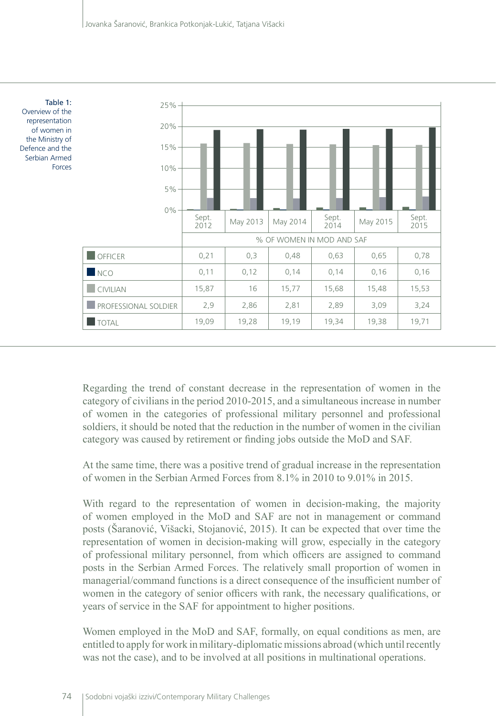

Regarding the trend of constant decrease in the representation of women in the category of civilians in the period 2010-2015, and a simultaneous increase in number of women in the categories of professional military personnel and professional soldiers, it should be noted that the reduction in the number of women in the civilian category was caused by retirement or finding jobs outside the MoD and SAF.

At the same time, there was a positive trend of gradual increase in the representation of women in the Serbian Armed Forces from 8.1% in 2010 to 9.01% in 2015.

With regard to the representation of women in decision-making, the majority of women employed in the MoD and SAF are not in management or command posts (Šaranović, Višacki, Stojanović, 2015). It can be expected that over time the representation of women in decision-making will grow, especially in the category of professional military personnel, from which officers are assigned to command posts in the Serbian Armed Forces. The relatively small proportion of women in managerial/command functions is a direct consequence of the insufficient number of women in the category of senior officers with rank, the necessary qualifications, or years of service in the SAF for appointment to higher positions.

Women employed in the MoD and SAF, formally, on equal conditions as men, are entitled to apply for work in military-diplomatic missions abroad (which until recently was not the case), and to be involved at all positions in multinational operations.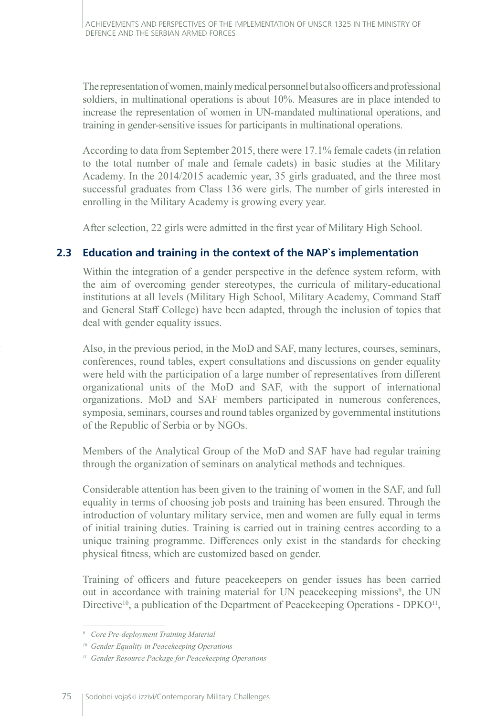The representation of women, mainly medical personnel but also officers and professional soldiers, in multinational operations is about 10%. Measures are in place intended to increase the representation of women in UN-mandated multinational operations, and training in gender-sensitive issues for participants in multinational operations.

According to data from September 2015, there were 17.1% female cadets (in relation to the total number of male and female cadets) in basic studies at the Military Academy. In the 2014/2015 academic year, 35 girls graduated, and the three most successful graduates from Class 136 were girls. The number of girls interested in enrolling in the Military Academy is growing every year.

After selection, 22 girls were admitted in the first year of Military High School.

## **2.3 Education and training in the context of the NAP`s implementation**

Within the integration of a gender perspective in the defence system reform, with the aim of overcoming gender stereotypes, the curricula of military-educational institutions at all levels (Military High School, Military Academy, Command Staff and General Staff College) have been adapted, through the inclusion of topics that deal with gender equality issues.

Also, in the previous period, in the MoD and SAF, many lectures, courses, seminars, conferences, round tables, expert consultations and discussions on gender equality were held with the participation of a large number of representatives from different organizational units of the MoD and SAF, with the support of international organizations. MoD and SAF members participated in numerous conferences, symposia, seminars, courses and round tables organized by governmental institutions of the Republic of Serbia or by NGOs.

Members of the Analytical Group of the MoD and SAF have had regular training through the organization of seminars on analytical methods and techniques.

Considerable attention has been given to the training of women in the SAF, and full equality in terms of choosing job posts and training has been ensured. Through the introduction of voluntary military service, men and women are fully equal in terms of initial training duties. Training is carried out in training centres according to a unique training programme. Differences only exist in the standards for checking physical fitness, which are customized based on gender.

Training of officers and future peacekeepers on gender issues has been carried out in accordance with training material for UN peacekeeping missions<sup>9</sup>, the UN Directive<sup>10</sup>, a publication of the Department of Peacekeeping Operations - DPKO<sup>11</sup>,

*<sup>9</sup> Core Pre-deployment Training Material*

*<sup>10</sup> Gender Equality in Peacekeeping Operations*

*<sup>11</sup> Gender Resource Package for Peacekeeping Operations*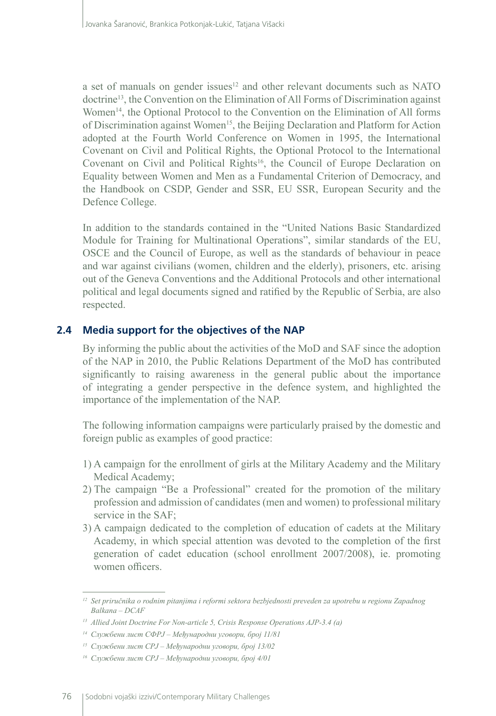a set of manuals on gender issues<sup>12</sup> and other relevant documents such as NATO doctrine13, the Convention on the Elimination of All Forms of Discrimination against Women<sup>14</sup>, the Optional Protocol to the Convention on the Elimination of All forms of Discrimination against Women<sup>15</sup>, the Beijing Declaration and Platform for Action adopted at the Fourth World Conference on Women in 1995, the International Covenant on Civil and Political Rights, the Optional Protocol to the International Covenant on Civil and Political Rights<sup>16</sup>, the Council of Europe Declaration on Equality between Women and Men as a Fundamental Criterion of Democracy, and the Handbook on CSDP, Gender and SSR, EU SSR, European Security and the Defence College.

In addition to the standards contained in the "United Nations Basic Standardized Module for Training for Multinational Operations", similar standards of the EU, OSCE and the Council of Europe, as well as the standards of behaviour in peace and war against civilians (women, children and the elderly), prisoners, etc. arising out of the Geneva Conventions and the Additional Protocols and other international political and legal documents signed and ratified by the Republic of Serbia, are also respected.

# **2.4 Media support for the objectives of the NAP**

By informing the public about the activities of the MoD and SAF since the adoption of the NAP in 2010, the Public Relations Department of the MoD has contributed significantly to raising awareness in the general public about the importance of integrating a gender perspective in the defence system, and highlighted the importance of the implementation of the NAP.

The following information campaigns were particularly praised by the domestic and foreign public as examples of good practice:

- 1) A campaign for the enrollment of girls at the Military Academy and the Military Medical Academy;
- 2) The campaign "Be a Professional" created for the promotion of the military profession and admission of candidates (men and women) to professional military service in the SAF;
- 3) A campaign dedicated to the completion of education of cadets at the Military Academy, in which special attention was devoted to the completion of the first generation of cadet education (school enrollment 2007/2008), ie. promoting women officers.

*<sup>12</sup> Set priručnika o rodnim pitanjima i reformi sektora bezbjednosti preveden za upotrebu u regionu Zapadnog Balkana – DCAF*

*<sup>13</sup> Allied Joint Doctrine For Non-article 5, Crisis Response Operations AJP-3.4 (a)*

*<sup>14</sup> Службени лист СФРЈ – Међународни уговори, број 11/81*

*<sup>15</sup> Службени лист СРЈ – Међународни уговори, број 13/02*

*<sup>16</sup> Службени лист СРЈ – Међународни уговори, број 4/01*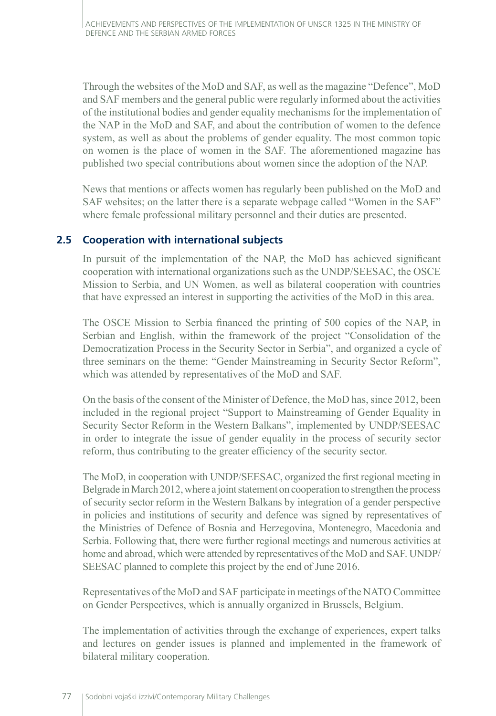Through the websites of the MoD and SAF, as well as the magazine "Defence", MoD and SAF members and the general public were regularly informed about the activities of the institutional bodies and gender equality mechanisms for the implementation of the NAP in the MoD and SAF, and about the contribution of women to the defence system, as well as about the problems of gender equality. The most common topic on women is the place of women in the SAF. The aforementioned magazine has published two special contributions about women since the adoption of the NAP.

News that mentions or affects women has regularly been published on the MoD and SAF websites; on the latter there is a separate webpage called "Women in the SAF" where female professional military personnel and their duties are presented.

## **2.5 Cooperation with international subjects**

In pursuit of the implementation of the NAP, the MoD has achieved significant cooperation with international organizations such as the UNDP/SEESAC, the OSCE Mission to Serbia, and UN Women, as well as bilateral cooperation with countries that have expressed an interest in supporting the activities of the MoD in this area.

The OSCE Mission to Serbia financed the printing of 500 copies of the NAP, in Serbian and English, within the framework of the project "Consolidation of the Democratization Process in the Security Sector in Serbia", and organized a cycle of three seminars on the theme: "Gender Mainstreaming in Security Sector Reform", which was attended by representatives of the MoD and SAF.

On the basis of the consent of the Minister of Defence, the MoD has, since 2012, been included in the regional project "Support to Mainstreaming of Gender Equality in Security Sector Reform in the Western Balkans", implemented by UNDP/SEESAC in order to integrate the issue of gender equality in the process of security sector reform, thus contributing to the greater efficiency of the security sector.

The MoD, in cooperation with UNDP/SEESAC, organized the first regional meeting in Belgrade in March 2012, where a joint statement on cooperation to strengthen the process of security sector reform in the Western Balkans by integration of a gender perspective in policies and institutions of security and defence was signed by representatives of the Ministries of Defence of Bosnia and Herzegovina, Montenegro, Macedonia and Serbia. Following that, there were further regional meetings and numerous activities at home and abroad, which were attended by representatives of the MoD and SAF. UNDP/ SEESAC planned to complete this project by the end of June 2016.

Representatives of the MoD and SAF participate in meetings of the NATO Committee on Gender Perspectives, which is annually organized in Brussels, Belgium.

The implementation of activities through the exchange of experiences, expert talks and lectures on gender issues is planned and implemented in the framework of bilateral military cooperation.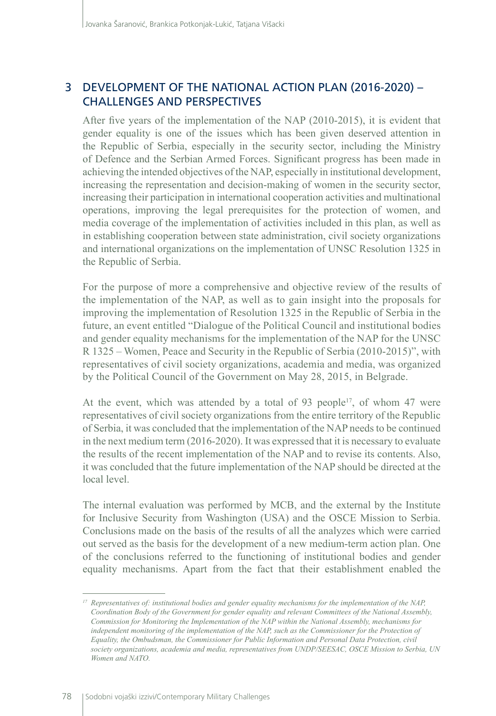# 3 DEVELOPMENT OF THE NATIONAL ACTION PLAN (2016-2020) -CHALLENGES AND PERSPECTIVES

After five years of the implementation of the NAP (2010-2015), it is evident that gender equality is one of the issues which has been given deserved attention in the Republic of Serbia, especially in the security sector, including the Ministry of Defence and the Serbian Armed Forces. Significant progress has been made in achieving the intended objectives of the NAP, especially in institutional development, increasing the representation and decision-making of women in the security sector, increasing their participation in international cooperation activities and multinational operations, improving the legal prerequisites for the protection of women, and media coverage of the implementation of activities included in this plan, as well as in establishing cooperation between state administration, civil society organizations and international organizations on the implementation of UNSC Resolution 1325 in the Republic of Serbia.

For the purpose of more a comprehensive and objective review of the results of the implementation of the NAP, as well as to gain insight into the proposals for improving the implementation of Resolution 1325 in the Republic of Serbia in the future, an event entitled "Dialogue of the Political Council and institutional bodies and gender equality mechanisms for the implementation of the NAP for the UNSC R 1325 – Women, Peace and Security in the Republic of Serbia (2010-2015)", with representatives of civil society organizations, academia and media, was organized by the Political Council of the Government on May 28, 2015, in Belgrade.

At the event, which was attended by a total of 93 people<sup>17</sup>, of whom 47 were representatives of civil society organizations from the entire territory of the Republic of Serbia, it was concluded that the implementation of the NAP needs to be continued in the next medium term (2016-2020). It was expressed that it is necessary to evaluate the results of the recent implementation of the NAP and to revise its contents. Also, it was concluded that the future implementation of the NAP should be directed at the local level.

The internal evaluation was performed by MCB, and the external by the Institute for Inclusive Security from Washington (USA) and the OSCE Mission to Serbia. Conclusions made on the basis of the results of all the analyzes which were carried out served as the basis for the development of a new medium-term action plan. One of the conclusions referred to the functioning of institutional bodies and gender equality mechanisms. Apart from the fact that their establishment enabled the

*<sup>17</sup> Representatives of: institutional bodies and gender equality mechanisms for the implementation of the NAP, Coordination Body of the Government for gender equality and relevant Committees of the National Assembly, Commission for Monitoring the Implementation of the NAP within the National Assembly, mechanisms for independent monitoring of the implementation of the NAP, such as the Commissioner for the Protection of Equality, the Ombudsman, the Commissioner for Public Information and Personal Data Protection, civil society organizations, academia and media, representatives from UNDP/SEESAC, OSCE Mission to Serbia, UN Women and NATO.*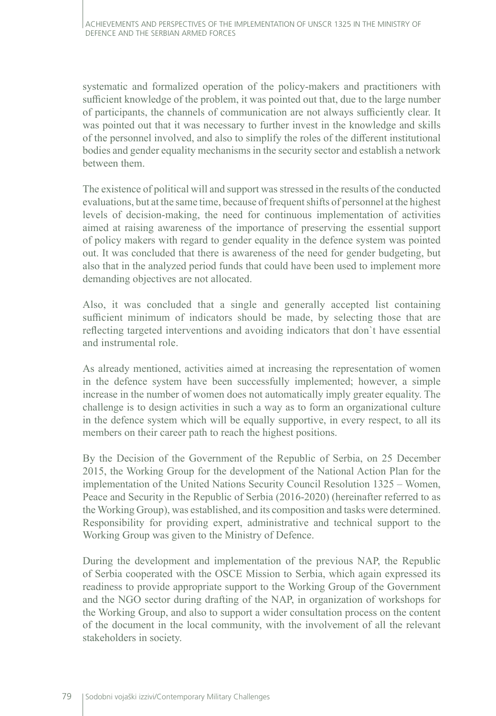systematic and formalized operation of the policy-makers and practitioners with sufficient knowledge of the problem, it was pointed out that, due to the large number of participants, the channels of communication are not always sufficiently clear. It was pointed out that it was necessary to further invest in the knowledge and skills of the personnel involved, and also to simplify the roles of the different institutional bodies and gender equality mechanisms in the security sector and establish a network between them.

The existence of political will and support was stressed in the results of the conducted evaluations, but at the same time, because of frequent shifts of personnel at the highest levels of decision-making, the need for continuous implementation of activities aimed at raising awareness of the importance of preserving the essential support of policy makers with regard to gender equality in the defence system was pointed out. It was concluded that there is awareness of the need for gender budgeting, but also that in the analyzed period funds that could have been used to implement more demanding objectives are not allocated.

Also, it was concluded that a single and generally accepted list containing sufficient minimum of indicators should be made, by selecting those that are reflecting targeted interventions and avoiding indicators that don`t have essential and instrumental role.

As already mentioned, activities aimed at increasing the representation of women in the defence system have been successfully implemented; however, a simple increase in the number of women does not automatically imply greater equality. The challenge is to design activities in such a way as to form an organizational culture in the defence system which will be equally supportive, in every respect, to all its members on their career path to reach the highest positions.

By the Decision of the Government of the Republic of Serbia, on 25 December 2015, the Working Group for the development of the National Action Plan for the implementation of the United Nations Security Council Resolution 1325 – Women, Peace and Security in the Republic of Serbia (2016-2020) (hereinafter referred to as the Working Group), was established, and its composition and tasks were determined. Responsibility for providing expert, administrative and technical support to the Working Group was given to the Ministry of Defence.

During the development and implementation of the previous NAP, the Republic of Serbia cooperated with the OSCE Mission to Serbia, which again expressed its readiness to provide appropriate support to the Working Group of the Government and the NGO sector during drafting of the NAP, in organization of workshops for the Working Group, and also to support a wider consultation process on the content of the document in the local community, with the involvement of all the relevant stakeholders in society.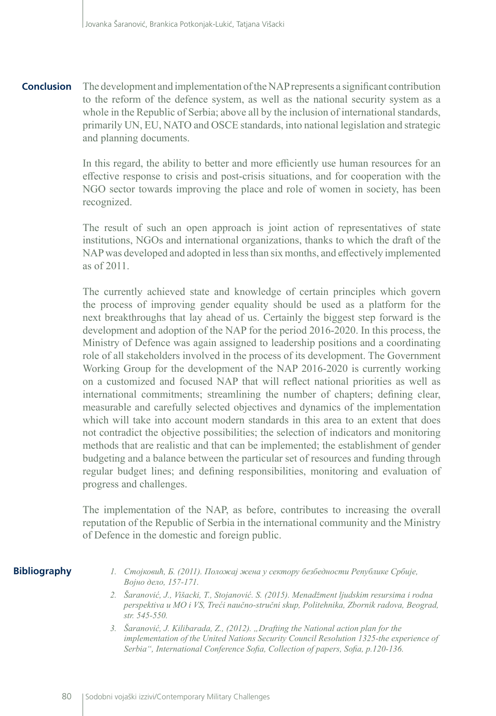The development and implementation of the NAP represents a significant contribution to the reform of the defence system, as well as the national security system as a whole in the Republic of Serbia; above all by the inclusion of international standards, primarily UN, EU, NATO and OSCE standards, into national legislation and strategic and planning documents. **Conclusion**

> In this regard, the ability to better and more efficiently use human resources for an effective response to crisis and post-crisis situations, and for cooperation with the NGO sector towards improving the place and role of women in society, has been recognized.

> The result of such an open approach is joint action of representatives of state institutions, NGOs and international organizations, thanks to which the draft of the NAP was developed and adopted in less than six months, and effectively implemented as of 2011.

> The currently achieved state and knowledge of certain principles which govern the process of improving gender equality should be used as a platform for the next breakthroughs that lay ahead of us. Certainly the biggest step forward is the development and adoption of the NAP for the period 2016-2020. In this process, the Ministry of Defence was again assigned to leadership positions and a coordinating role of all stakeholders involved in the process of its development. The Government Working Group for the development of the NAP 2016-2020 is currently working on a customized and focused NAP that will reflect national priorities as well as international commitments; streamlining the number of chapters; defining clear, measurable and carefully selected objectives and dynamics of the implementation which will take into account modern standards in this area to an extent that does not contradict the objective possibilities; the selection of indicators and monitoring methods that are realistic and that can be implemented; the establishment of gender budgeting and a balance between the particular set of resources and funding through regular budget lines; and defining responsibilities, monitoring and evaluation of progress and challenges.

> The implementation of the NAP, as before, contributes to increasing the overall reputation of the Republic of Serbia in the international community and the Ministry of Defence in the domestic and foreign public.

#### **Bibliography**

- *1. Стојковић, Б. (2011). Положај жена у сектору безбедности Републике Србије, Војно дело, 157-171.*
- *2. Šaranović, J., Višacki, T., Stojanović. S. (2015). Menadžment ljudskim resursima i rodna perspektiva u MO i VS, Treći naučno-stručni skup, Politehnika, Zbornik radova, Beograd, str. 545-550.*
- *3. Šaranović, J. Kilibarada, Z., (2012). "Drafting the National action plan for the implementation of the United Nations Security Council Resolution 1325-the experience of Serbia", International Conference Sofia, Collection of papers, Sofia, p.120-136.*